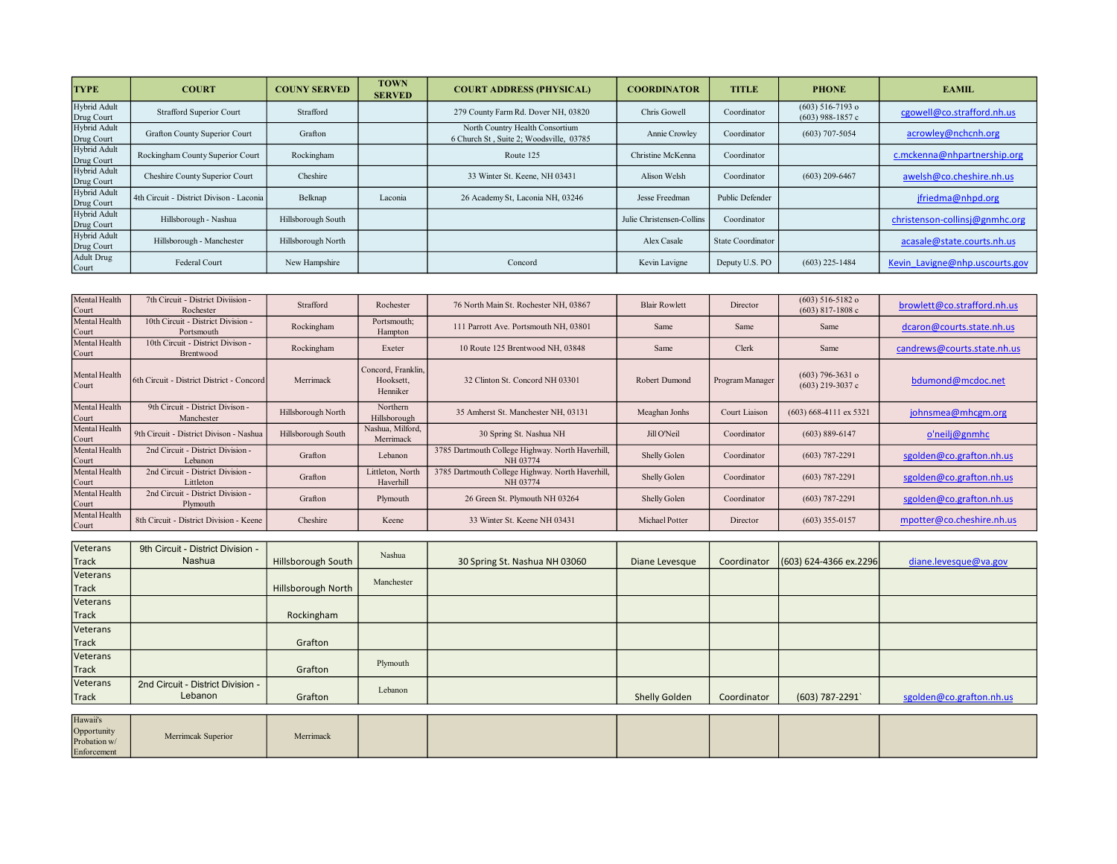| <b>TYPE</b>                | <b>COURT</b>                             | <b>COUNY SERVED</b> | <b>TOWN</b><br><b>SERVED</b> | <b>COURT ADDRESS (PHYSICAL)</b>                                            | <b>COORDINATOR</b>        | <b>TITLE</b>      | <b>PHONE</b>                             | <b>EAMIL</b>                   |
|----------------------------|------------------------------------------|---------------------|------------------------------|----------------------------------------------------------------------------|---------------------------|-------------------|------------------------------------------|--------------------------------|
| Hybrid Adult<br>Drug Court | <b>Strafford Superior Court</b>          | Strafford           |                              | 279 County Farm Rd. Dover NH, 03820                                        | Chris Gowell              | Coordinator       | $(603)$ 516-7193 o<br>$(603)$ 988-1857 c | cgowell@co.strafford.nh.us     |
| Hybrid Adult<br>Drug Court | Grafton County Superior Court            | Grafton             |                              | North Country Health Consortium<br>6 Church St, Suite 2; Woodsville, 03785 | Annie Crowley             | Coordinator       | $(603)$ 707-5054                         | acrowley@nchcnh.org            |
| Hybrid Adult<br>Drug Court | Rockingham County Superior Court         | Rockingham          |                              | Route 125                                                                  | Christine McKenna         | Coordinator       |                                          | c.mckenna@nhpartnership.org    |
| Hybrid Adult<br>Drug Court | Cheshire County Superior Court           | Cheshire            |                              | 33 Winter St. Keene, NH 03431                                              | Alison Welsh              | Coordinator       | $(603)$ 209-6467                         | awelsh@co.cheshire.nh.us       |
| Hybrid Adult<br>Drug Court | 4th Circuit - District Divison - Laconia | Belknap             | Laconia                      | 26 Academy St, Laconia NH, 03246                                           | Jesse Freedman            | Public Defender   |                                          | jfriedma@nhpd.org              |
| Hybrid Adult<br>Drug Court | Hillsborough - Nashua                    | Hillsborough South  |                              |                                                                            | Julie Christensen-Collins | Coordinator       |                                          | christenson-collinsj@gnmhc.org |
| Hybrid Adult<br>Drug Court | Hillsborough - Manchester                | Hillsborough North  |                              |                                                                            | Alex Casale               | State Coordinator |                                          | acasale@state.courts.nh.us     |
| Adult Drug<br>Court        | Federal Court                            | New Hampshire       |                              | Concord                                                                    | Kevin Lavigne             | Deputy U.S. PO    | $(603)$ 225-1484                         | Kevin Lavigne@nhp.uscourts.gov |

| Mental Health<br>Court | 7th Circuit - District Diviision -<br>Rochester  | Strafford          | Rochester                                   | 76 North Main St. Rochester NH, 03867                        | <b>Blair Rowlett</b> | Director        | $(603)$ 516-5182 o<br>$(603)$ 817-1808 c | browlett@co.strafford.nh.us |
|------------------------|--------------------------------------------------|--------------------|---------------------------------------------|--------------------------------------------------------------|----------------------|-----------------|------------------------------------------|-----------------------------|
| Mental Health<br>Court | 10th Circuit - District Division -<br>Portsmouth | Rockingham         | Portsmouth;<br>Hampton                      | 111 Parrott Ave. Portsmouth NH, 03801                        | Same                 | Same            | Same                                     | dcaron@courts.state.nh.us   |
| Mental Health<br>Court | 10th Circuit - District Divison -<br>Brentwood   | Rockingham         | Exeter                                      | 10 Route 125 Brentwood NH, 03848                             | Same                 | Clerk           | Same                                     | candrews@courts.state.nh.us |
| Mental Health<br>Court | 6th Circuit - District District - Concord        | Merrimack          | Concord, Franklin.<br>Hooksett.<br>Henniker | 32 Clinton St. Concord NH 03301                              | Robert Dumond        | Program Manager | $(603)$ 796-3631 o<br>$(603)$ 219-3037 c | bdumond@mcdoc.net           |
| Mental Health<br>Court | 9th Circuit - District Divison -<br>Manchester   | Hillsborough North | Northern<br>Hillsborough                    | 35 Amherst St. Manchester NH, 03131                          | Meaghan Jonhs        | Court Liaison   | $(603)$ 668-4111 ex 5321                 | johnsmea@mhcgm.org          |
| Mental Health<br>Court | 9th Circuit - District Divison - Nashua          | Hillsborough South | Nashua, Milford,<br>Merrimack               | 30 Spring St. Nashua NH                                      | Jill O'Neil          | Coordinator     | $(603) 889 - 6147$                       | o'neilj@gnmhc               |
| Mental Health<br>Court | 2nd Circuit - District Division -<br>Lebanon     | Grafton            | Lebanon                                     | 3785 Dartmouth College Highway. North Haverhill,<br>NH 03774 | Shelly Golen         | Coordinator     | $(603) 787 - 2291$                       | sgolden@co.grafton.nh.us    |
| Mental Health<br>Court | 2nd Circuit - District Division -<br>Littleton   | Grafton            | Littleton, North<br>Haverhill               | 3785 Dartmouth College Highway. North Haverhill,<br>NH 03774 | Shelly Golen         | Coordinator     | $(603) 787 - 2291$                       | sgolden@co.grafton.nh.us    |
| Mental Health<br>Court | 2nd Circuit - District Division -<br>Plymouth    | Grafton            | Plymouth                                    | 26 Green St. Plymouth NH 03264                               | Shelly Golen         | Coordinator     | $(603) 787 - 2291$                       | sgolden@co.grafton.nh.us    |
| Mental Health<br>Court | 8th Circuit - District Division - Keene          | Cheshire           | Keene                                       | 33 Winter St. Keene NH 03431                                 | Michael Potter       | Director        | $(603)$ 355-0157                         | mpotter@co.cheshire.nh.us   |

| Veterans     | 9th Circuit - District Division - |                           | Nashua     |                               |                |             |                            |                          |
|--------------|-----------------------------------|---------------------------|------------|-------------------------------|----------------|-------------|----------------------------|--------------------------|
| Track        | Nashua                            | Hillsborough South        |            | 30 Spring St. Nashua NH 03060 | Diane Levesque | Coordinator | $(603) 624 - 4366$ ex.2296 | diane.levesque@va.gov    |
| Veterans     |                                   |                           | Manchester |                               |                |             |                            |                          |
| Track        |                                   | <b>Hillsborough North</b> |            |                               |                |             |                            |                          |
| Veterans     |                                   |                           |            |                               |                |             |                            |                          |
| <b>Track</b> |                                   | Rockingham                |            |                               |                |             |                            |                          |
| Veterans     |                                   |                           |            |                               |                |             |                            |                          |
| Track        |                                   | Grafton                   |            |                               |                |             |                            |                          |
| Veterans     |                                   |                           |            |                               |                |             |                            |                          |
| <b>Track</b> |                                   | Grafton                   | Plymouth   |                               |                |             |                            |                          |
| Veterans     | 2nd Circuit - District Division - |                           |            |                               |                |             |                            |                          |
| <b>Track</b> | Lebanon                           | Grafton                   | Lebanon    |                               | Shelly Golden  | Coordinator | (603) 787-2291             | sgolden@co.grafton.nh.us |
|              |                                   |                           |            |                               |                |             |                            |                          |
| Hawaii's     |                                   |                           |            |                               |                |             |                            |                          |

| Hawaii's                    |                    |           |  |  |  |
|-----------------------------|--------------------|-----------|--|--|--|
| Opportunity<br>Probation w/ | Merrimcak Superior | Merrimack |  |  |  |
| Enforcement                 |                    |           |  |  |  |